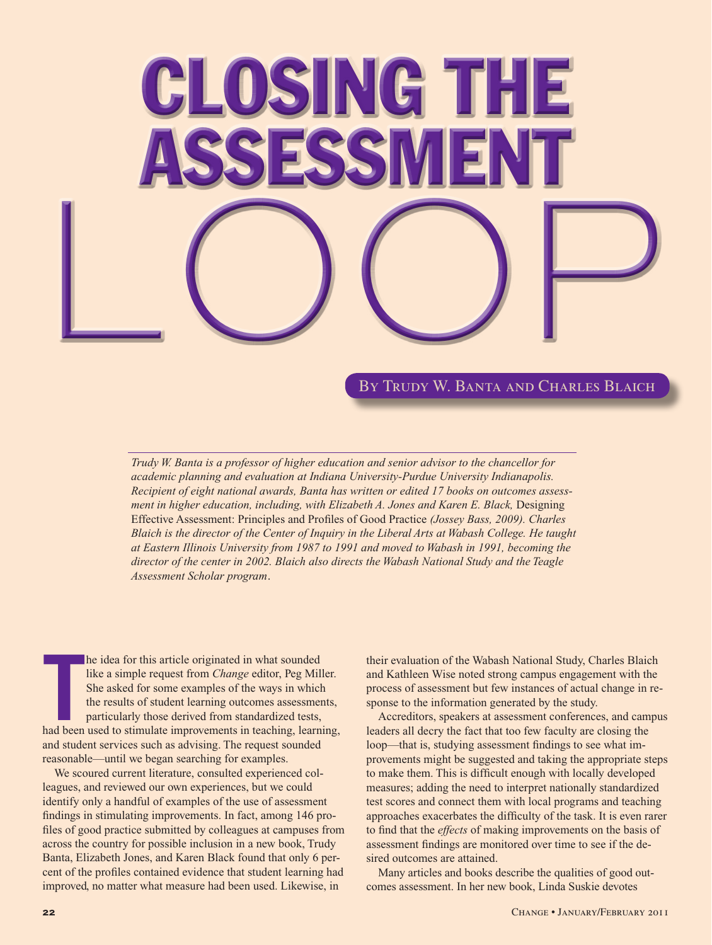

*Trudy W. Banta is a professor of higher education and senior advisor to the chancellor for academic planning and evaluation at Indiana University-Purdue University Indianapolis. Recipient of eight national awards, Banta has written or edited 17 books on outcomes assessment in higher education, including, with Elizabeth A. Jones and Karen E. Black, Designing* Effective Assessment: Principles and Profiles of Good Practice *(Jossey Bass, 2009). Charles Blaich is the director of the Center of Inquiry in the Liberal Arts at Wabash College. He taught at Eastern Illinois University from 1987 to 1991 and moved to Wabash in 1991, becoming the director of the center in 2002. Blaich also directs the Wabash National Study and the Teagle Assessment Scholar program.*

CLOSING THE

ASSESSMENT

**THE ENEXAM IS SET THE EXERCT STATE OF STATE OF SHEAF SHE ASKED FOR SHEAR SHEAP SHEAP SHEAP SHEAP SHEAP SHEAP SHEAP SHEAP SHEAP SHEAP SHEAP SHEAP SHEAP SHEAP SHEAP SHEAP SHEAP SHEAP SHEAP SHEAP SHEAP SHEAP SHEAP SHEAP SHEA** he idea for this article originated in what sounded like a simple request from *Change* editor, Peg Miller. She asked for some examples of the ways in which the results of student learning outcomes assessments, particularly those derived from standardized tests, and student services such as advising. The request sounded reasonable—until we began searching for examples.

We scoured current literature, consulted experienced colleagues, and reviewed our own experiences, but we could identify only a handful of examples of the use of assessment findings in stimulating improvements. In fact, among 146 profiles of good practice submitted by colleagues at campuses from across the country for possible inclusion in a new book, Trudy Banta, Elizabeth Jones, and Karen Black found that only 6 percent of the profiles contained evidence that student learning had improved, no matter what measure had been used. Likewise, in

their evaluation of the Wabash National Study, Charles Blaich and Kathleen Wise noted strong campus engagement with the process of assessment but few instances of actual change in response to the information generated by the study.

Accreditors, speakers at assessment conferences, and campus leaders all decry the fact that too few faculty are closing the loop—that is, studying assessment findings to see what improvements might be suggested and taking the appropriate steps to make them. This is difficult enough with locally developed measures; adding the need to interpret nationally standardized test scores and connect them with local programs and teaching approaches exacerbates the difficulty of the task. It is even rarer to find that the *effects* of making improvements on the basis of assessment findings are monitored over time to see if the desired outcomes are attained.

Many articles and books describe the qualities of good outcomes assessment. In her new book, Linda Suskie devotes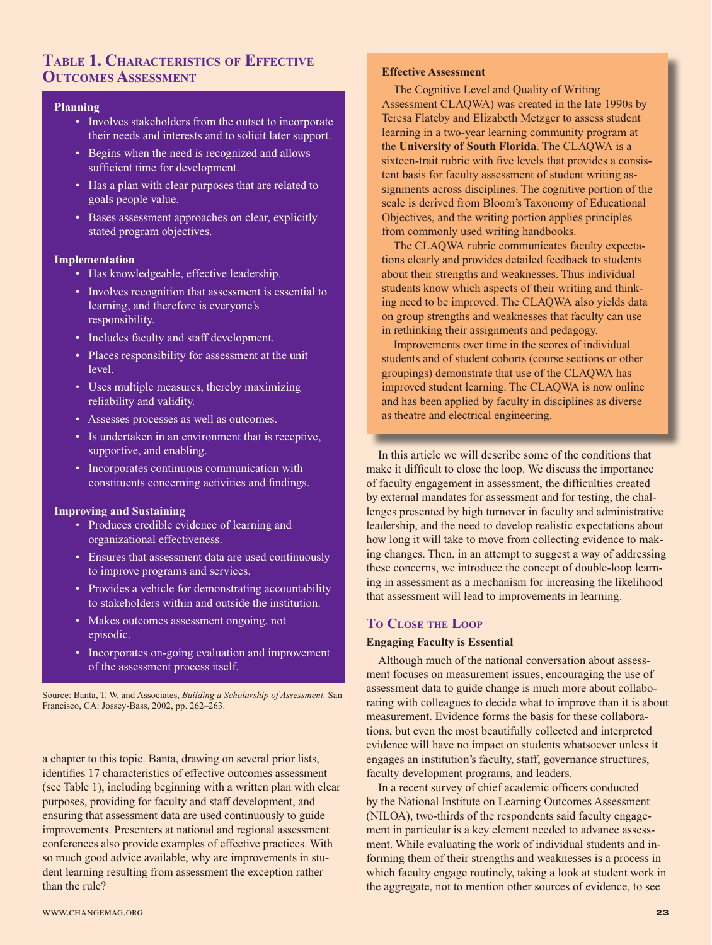# **Table 1. Characteristics of Effective Outcomes Assessment**

### **Planning**

- Involves stakeholders from the outset to incorporate their needs and interests and to solicit later support.
- Begins when the need is recognized and allows sufficient time for development.
- Has a plan with clear purposes that are related to goals people value.
- Bases assessment approaches on clear, explicitly stated program objectives.

#### **Implementation**

- Has knowledgeable, effective leadership.
- Involves recognition that assessment is essential to learning, and therefore is everyone's responsibility.
- Includes faculty and staff development.
- Places responsibility for assessment at the unit level.
- Uses multiple measures, thereby maximizing reliability and validity.
- Assesses processes as well as outcomes.
- Is undertaken in an environment that is receptive, supportive, and enabling.
- Incorporates continuous communication with constituents concerning activities and findings.

### **Improving and Sustaining**

- Produces credible evidence of learning and organizational effectiveness.
- Ensures that assessment data are used continuously to improve programs and services.
- Provides a vehicle for demonstrating accountability to stakeholders within and outside the institution.
- Makes outcomes assessment ongoing, not episodic.
- Incorporates on-going evaluation and improvement of the assessment process itself.

Source: Banta, T. W. and Associates, *Building a Scholarship of Assessment.* San Francisco, CA: Jossey-Bass, 2002, pp. 262–263.

a chapter to this topic. Banta, drawing on several prior lists, identifies 17 characteristics of effective outcomes assessment (see Table 1), including beginning with a written plan with clear purposes, providing for faculty and staff development, and ensuring that assessment data are used continuously to guide improvements. Presenters at national and regional assessment conferences also provide examples of effective practices. With so much good advice available, why are improvements in student learning resulting from assessment the exception rather than the rule?

The Cognitive Level and Quality of Writing Assessment CLAQWA) was created in the late 1990s by Teresa Flateby and Elizabeth Metzger to assess student learning in a two-year learning community program at the **University of South Florida**. The CLAQWA is a sixteen-trait rubric with five levels that provides a consistent basis for faculty assessment of student writing assignments across disciplines. The cognitive portion of the scale is derived from Bloom's Taxonomy of Educational Objectives, and the writing portion applies principles from commonly used writing handbooks.

The CLAQWA rubric communicates faculty expectations clearly and provides detailed feedback to students about their strengths and weaknesses. Thus individual students know which aspects of their writing and thinking need to be improved. The CLAQWA also yields data on group strengths and weaknesses that faculty can use in rethinking their assignments and pedagogy.

Improvements over time in the scores of individual students and of student cohorts (course sections or other groupings) demonstrate that use of the CLAQWA has improved student learning. The CLAQWA is now online and has been applied by faculty in disciplines as diverse as theatre and electrical engineering.

In this article we will describe some of the conditions that make it difficult to close the loop. We discuss the importance of faculty engagement in assessment, the difficulties created by external mandates for assessment and for testing, the challenges presented by high turnover in faculty and administrative leadership, and the need to develop realistic expectations about how long it will take to move from collecting evidence to making changes. Then, in an attempt to suggest a way of addressing these concerns, we introduce the concept of double-loop learning in assessment as a mechanism for increasing the likelihood that assessment will lead to improvements in learning.

## **To Close the Loop**

### **Engaging Faculty is Essential**

Although much of the national conversation about assessment focuses on measurement issues, encouraging the use of assessment data to guide change is much more about collaborating with colleagues to decide what to improve than it is about measurement. Evidence forms the basis for these collaborations, but even the most beautifully collected and interpreted evidence will have no impact on students whatsoever unless it engages an institution's faculty, staff, governance structures, faculty development programs, and leaders.

In a recent survey of chief academic officers conducted by the National Institute on Learning Outcomes Assessment (NILOA), two-thirds of the respondents said faculty engagement in particular is a key element needed to advance assessment. While evaluating the work of individual students and informing them of their strengths and weaknesses is a process in which faculty engage routinely, taking a look at student work in the aggregate, not to mention other sources of evidence, to see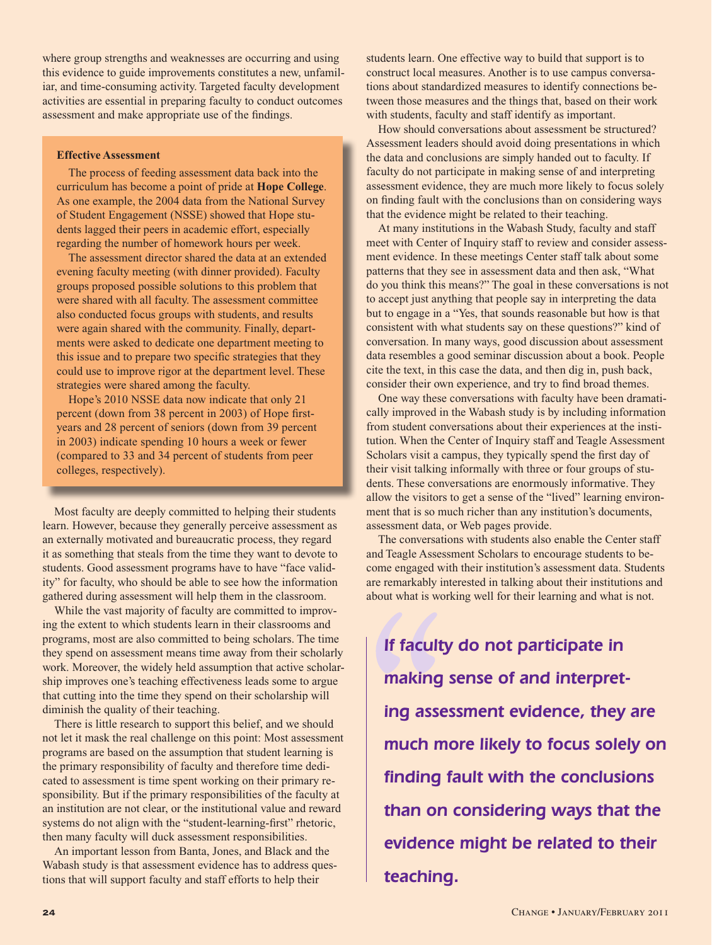where group strengths and weaknesses are occurring and using this evidence to guide improvements constitutes a new, unfamiliar, and time-consuming activity. Targeted faculty development activities are essential in preparing faculty to conduct outcomes assessment and make appropriate use of the findings.

#### **Effective Assessment**

The process of feeding assessment data back into the curriculum has become a point of pride at **Hope College**. As one example, the 2004 data from the National Survey of Student Engagement (NSSE) showed that Hope students lagged their peers in academic effort, especially regarding the number of homework hours per week.

The assessment director shared the data at an extended evening faculty meeting (with dinner provided). Faculty groups proposed possible solutions to this problem that were shared with all faculty. The assessment committee also conducted focus groups with students, and results were again shared with the community. Finally, departments were asked to dedicate one department meeting to this issue and to prepare two specific strategies that they could use to improve rigor at the department level. These strategies were shared among the faculty.

Hope's 2010 NSSE data now indicate that only 21 percent (down from 38 percent in 2003) of Hope firstyears and 28 percent of seniors (down from 39 percent in 2003) indicate spending 10 hours a week or fewer (compared to 33 and 34 percent of students from peer colleges, respectively).

Most faculty are deeply committed to helping their students learn. However, because they generally perceive assessment as an externally motivated and bureaucratic process, they regard it as something that steals from the time they want to devote to students. Good assessment programs have to have "face validity" for faculty, who should be able to see how the information gathered during assessment will help them in the classroom.

While the vast majority of faculty are committed to improving the extent to which students learn in their classrooms and programs, most are also committed to being scholars. The time they spend on assessment means time away from their scholarly work. Moreover, the widely held assumption that active scholarship improves one's teaching effectiveness leads some to argue that cutting into the time they spend on their scholarship will diminish the quality of their teaching.

There is little research to support this belief, and we should not let it mask the real challenge on this point: Most assessment programs are based on the assumption that student learning is the primary responsibility of faculty and therefore time dedicated to assessment is time spent working on their primary responsibility. But if the primary responsibilities of the faculty at an institution are not clear, or the institutional value and reward systems do not align with the "student-learning-first" rhetoric, then many faculty will duck assessment responsibilities.

An important lesson from Banta, Jones, and Black and the Wabash study is that assessment evidence has to address questions that will support faculty and staff efforts to help their

students learn. One effective way to build that support is to construct local measures. Another is to use campus conversations about standardized measures to identify connections between those measures and the things that, based on their work with students, faculty and staff identify as important.

How should conversations about assessment be structured? Assessment leaders should avoid doing presentations in which the data and conclusions are simply handed out to faculty. If faculty do not participate in making sense of and interpreting assessment evidence, they are much more likely to focus solely on finding fault with the conclusions than on considering ways that the evidence might be related to their teaching.

At many institutions in the Wabash Study, faculty and staff meet with Center of Inquiry staff to review and consider assessment evidence. In these meetings Center staff talk about some patterns that they see in assessment data and then ask, "What do you think this means?" The goal in these conversations is not to accept just anything that people say in interpreting the data but to engage in a "Yes, that sounds reasonable but how is that consistent with what students say on these questions?" kind of conversation. In many ways, good discussion about assessment data resembles a good seminar discussion about a book. People cite the text, in this case the data, and then dig in, push back, consider their own experience, and try to find broad themes.

One way these conversations with faculty have been dramatically improved in the Wabash study is by including information from student conversations about their experiences at the institution. When the Center of Inquiry staff and Teagle Assessment Scholars visit a campus, they typically spend the first day of their visit talking informally with three or four groups of students. These conversations are enormously informative. They allow the visitors to get a sense of the "lived" learning environment that is so much richer than any institution's documents, assessment data, or Web pages provide.

The conversations with students also enable the Center staff and Teagle Assessment Scholars to encourage students to become engaged with their institution's assessment data. Students are remarkably interested in talking about their institutions and about what is working well for their learning and what is not.

If faculty do not participate in making sense of and interpreting assessment evidence, they are much more likely to focus solely on finding fault with the conclusions than on considering ways that the evidence might be related to their teaching.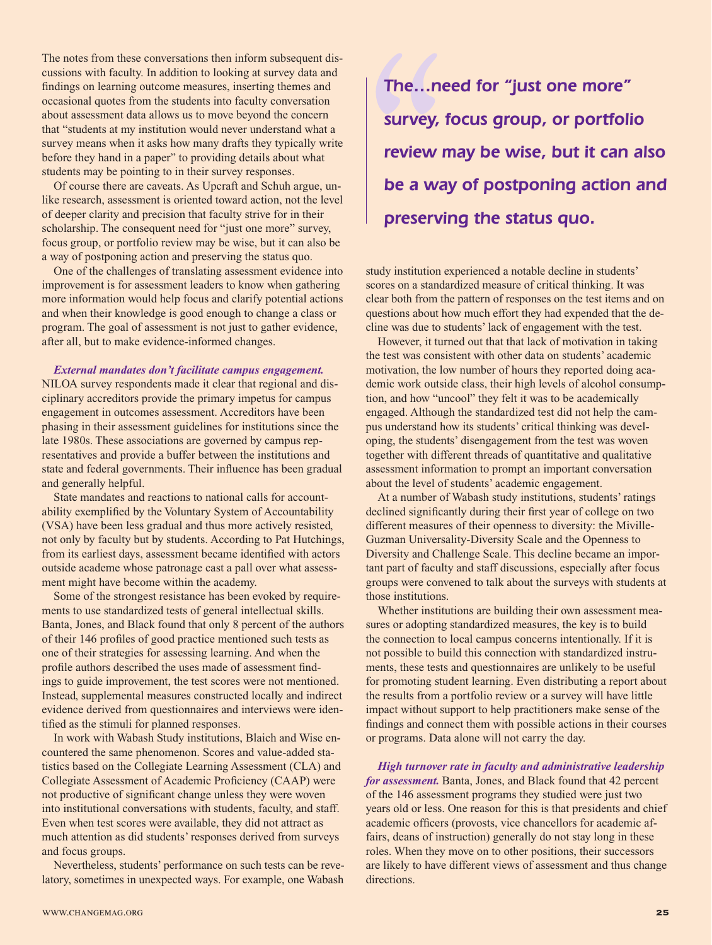The notes from these conversations then inform subsequent discussions with faculty. In addition to looking at survey data and findings on learning outcome measures, inserting themes and occasional quotes from the students into faculty conversation about assessment data allows us to move beyond the concern that "students at my institution would never understand what a survey means when it asks how many drafts they typically write before they hand in a paper" to providing details about what students may be pointing to in their survey responses.

Of course there are caveats. As Upcraft and Schuh argue, unlike research, assessment is oriented toward action, not the level of deeper clarity and precision that faculty strive for in their scholarship. The consequent need for "just one more" survey, focus group, or portfolio review may be wise, but it can also be a way of postponing action and preserving the status quo.

One of the challenges of translating assessment evidence into improvement is for assessment leaders to know when gathering more information would help focus and clarify potential actions and when their knowledge is good enough to change a class or program. The goal of assessment is not just to gather evidence, after all, but to make evidence-informed changes.

*External mandates don't facilitate campus engagement.*

NILOA survey respondents made it clear that regional and disciplinary accreditors provide the primary impetus for campus engagement in outcomes assessment. Accreditors have been phasing in their assessment guidelines for institutions since the late 1980s. These associations are governed by campus representatives and provide a buffer between the institutions and state and federal governments. Their influence has been gradual and generally helpful.

State mandates and reactions to national calls for accountability exemplified by the Voluntary System of Accountability (VSA) have been less gradual and thus more actively resisted, not only by faculty but by students. According to Pat Hutchings, from its earliest days, assessment became identified with actors outside academe whose patronage cast a pall over what assessment might have become within the academy.

Some of the strongest resistance has been evoked by requirements to use standardized tests of general intellectual skills. Banta, Jones, and Black found that only 8 percent of the authors of their 146 profiles of good practice mentioned such tests as one of their strategies for assessing learning. And when the profile authors described the uses made of assessment findings to guide improvement, the test scores were not mentioned. Instead, supplemental measures constructed locally and indirect evidence derived from questionnaires and interviews were identified as the stimuli for planned responses.

In work with Wabash Study institutions, Blaich and Wise encountered the same phenomenon. Scores and value-added statistics based on the Collegiate Learning Assessment (CLA) and Collegiate Assessment of Academic Proficiency (CAAP) were not productive of significant change unless they were woven into institutional conversations with students, faculty, and staff. Even when test scores were available, they did not attract as much attention as did students' responses derived from surveys and focus groups.

Nevertheless, students' performance on such tests can be revelatory, sometimes in unexpected ways. For example, one Wabash

The…need for "just one more" survey, focus group, or portfolio review may be wise, but it can also be a way of postponing action and preserving the status quo.

study institution experienced a notable decline in students' scores on a standardized measure of critical thinking. It was clear both from the pattern of responses on the test items and on questions about how much effort they had expended that the decline was due to students' lack of engagement with the test.

However, it turned out that that lack of motivation in taking the test was consistent with other data on students' academic motivation, the low number of hours they reported doing academic work outside class, their high levels of alcohol consumption, and how "uncool" they felt it was to be academically engaged. Although the standardized test did not help the campus understand how its students' critical thinking was developing, the students' disengagement from the test was woven together with different threads of quantitative and qualitative assessment information to prompt an important conversation about the level of students' academic engagement.

At a number of Wabash study institutions, students' ratings declined significantly during their first year of college on two different measures of their openness to diversity: the Miville-Guzman Universality-Diversity Scale and the Openness to Diversity and Challenge Scale. This decline became an important part of faculty and staff discussions, especially after focus groups were convened to talk about the surveys with students at those institutions.

Whether institutions are building their own assessment measures or adopting standardized measures, the key is to build the connection to local campus concerns intentionally. If it is not possible to build this connection with standardized instruments, these tests and questionnaires are unlikely to be useful for promoting student learning. Even distributing a report about the results from a portfolio review or a survey will have little impact without support to help practitioners make sense of the findings and connect them with possible actions in their courses or programs. Data alone will not carry the day.

*High turnover rate in faculty and administrative leadership for assessment.* Banta, Jones, and Black found that 42 percent of the 146 assessment programs they studied were just two years old or less. One reason for this is that presidents and chief academic officers (provosts, vice chancellors for academic affairs, deans of instruction) generally do not stay long in these roles. When they move on to other positions, their successors are likely to have different views of assessment and thus change directions.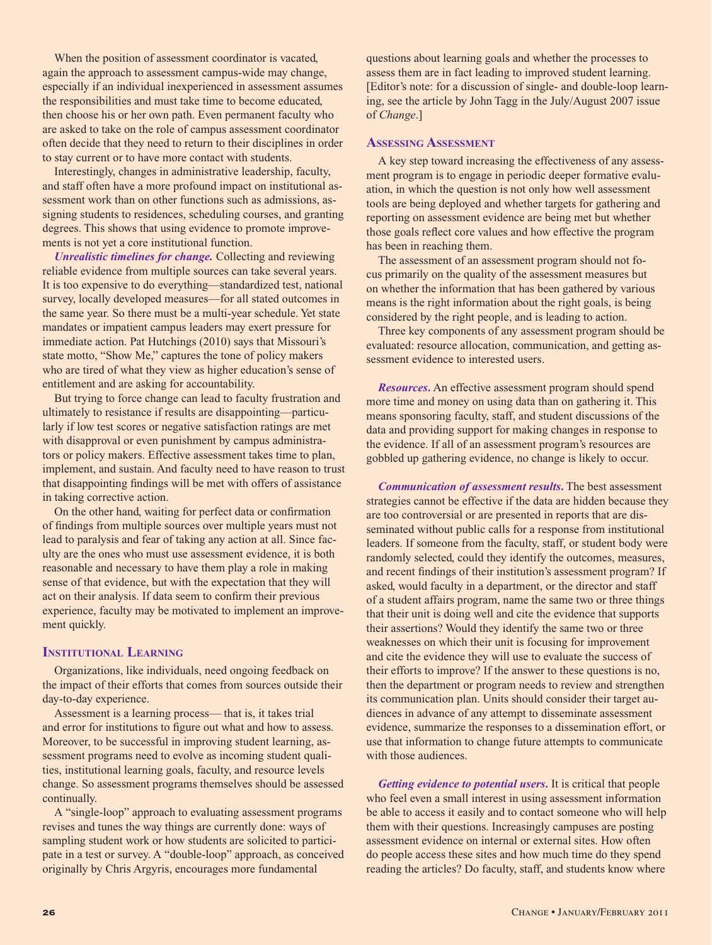When the position of assessment coordinator is vacated, again the approach to assessment campus-wide may change, especially if an individual inexperienced in assessment assumes the responsibilities and must take time to become educated, then choose his or her own path. Even permanent faculty who are asked to take on the role of campus assessment coordinator often decide that they need to return to their disciplines in order to stay current or to have more contact with students.

Interestingly, changes in administrative leadership, faculty, and staff often have a more profound impact on institutional assessment work than on other functions such as admissions, assigning students to residences, scheduling courses, and granting degrees. This shows that using evidence to promote improvements is not yet a core institutional function.

*Unrealistic timelines for change.* Collecting and reviewing reliable evidence from multiple sources can take several years. It is too expensive to do everything—standardized test, national survey, locally developed measures—for all stated outcomes in the same year. So there must be a multi-year schedule. Yet state mandates or impatient campus leaders may exert pressure for immediate action. Pat Hutchings (2010) says that Missouri's state motto, "Show Me," captures the tone of policy makers who are tired of what they view as higher education's sense of entitlement and are asking for accountability.

But trying to force change can lead to faculty frustration and ultimately to resistance if results are disappointing—particularly if low test scores or negative satisfaction ratings are met with disapproval or even punishment by campus administrators or policy makers. Effective assessment takes time to plan, implement, and sustain. And faculty need to have reason to trust that disappointing findings will be met with offers of assistance in taking corrective action.

On the other hand, waiting for perfect data or confirmation of findings from multiple sources over multiple years must not lead to paralysis and fear of taking any action at all. Since faculty are the ones who must use assessment evidence, it is both reasonable and necessary to have them play a role in making sense of that evidence, but with the expectation that they will act on their analysis. If data seem to confirm their previous experience, faculty may be motivated to implement an improvement quickly.

## **Institutional Learning**

Organizations, like individuals, need ongoing feedback on the impact of their efforts that comes from sources outside their day-to-day experience.

Assessment is a learning process— that is, it takes trial and error for institutions to figure out what and how to assess. Moreover, to be successful in improving student learning, assessment programs need to evolve as incoming student qualities, institutional learning goals, faculty, and resource levels change. So assessment programs themselves should be assessed continually.

A "single-loop" approach to evaluating assessment programs revises and tunes the way things are currently done: ways of sampling student work or how students are solicited to participate in a test or survey. A "double-loop" approach, as conceived originally by Chris Argyris, encourages more fundamental

questions about learning goals and whether the processes to assess them are in fact leading to improved student learning. [Editor's note: for a discussion of single- and double-loop learning, see the article by John Tagg in the July/August 2007 issue of *Change*.]

## **Assessing Assessment**

A key step toward increasing the effectiveness of any assessment program is to engage in periodic deeper formative evaluation, in which the question is not only how well assessment tools are being deployed and whether targets for gathering and reporting on assessment evidence are being met but whether those goals reflect core values and how effective the program has been in reaching them.

The assessment of an assessment program should not focus primarily on the quality of the assessment measures but on whether the information that has been gathered by various means is the right information about the right goals, is being considered by the right people, and is leading to action.

Three key components of any assessment program should be evaluated: resource allocation, communication, and getting assessment evidence to interested users.

*Resources***.** An effective assessment program should spend more time and money on using data than on gathering it. This means sponsoring faculty, staff, and student discussions of the data and providing support for making changes in response to the evidence. If all of an assessment program's resources are gobbled up gathering evidence, no change is likely to occur.

*Communication of assessment results***.** The best assessment strategies cannot be effective if the data are hidden because they are too controversial or are presented in reports that are disseminated without public calls for a response from institutional leaders. If someone from the faculty, staff, or student body were randomly selected, could they identify the outcomes, measures, and recent findings of their institution's assessment program? If asked, would faculty in a department, or the director and staff of a student affairs program, name the same two or three things that their unit is doing well and cite the evidence that supports their assertions? Would they identify the same two or three weaknesses on which their unit is focusing for improvement and cite the evidence they will use to evaluate the success of their efforts to improve? If the answer to these questions is no, then the department or program needs to review and strengthen its communication plan. Units should consider their target audiences in advance of any attempt to disseminate assessment evidence, summarize the responses to a dissemination effort, or use that information to change future attempts to communicate with those audiences.

*Getting evidence to potential users***.** It is critical that people who feel even a small interest in using assessment information be able to access it easily and to contact someone who will help them with their questions. Increasingly campuses are posting assessment evidence on internal or external sites. How often do people access these sites and how much time do they spend reading the articles? Do faculty, staff, and students know where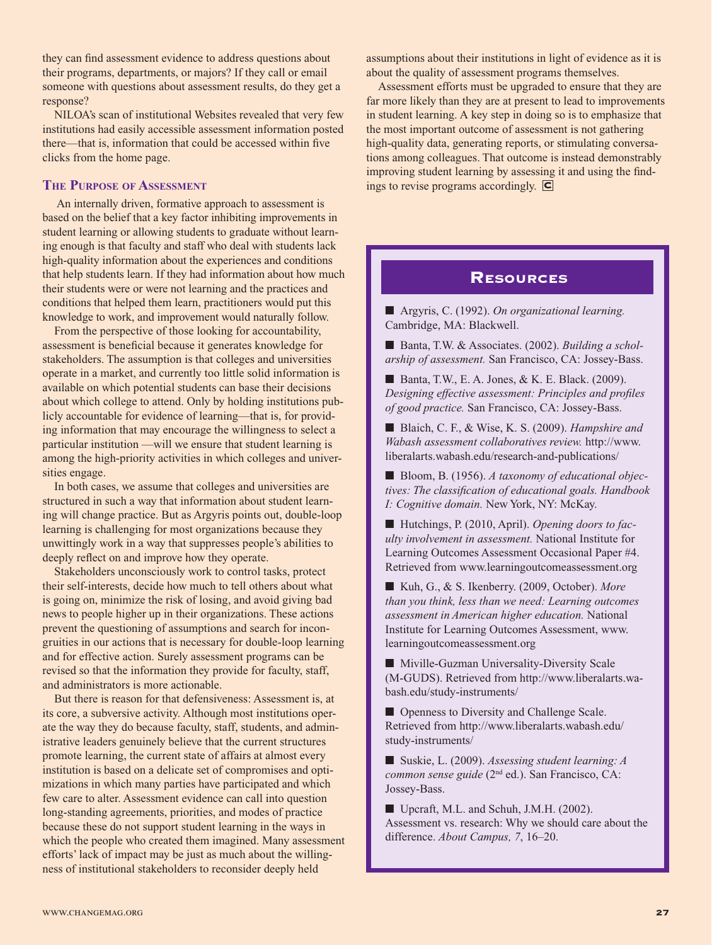they can find assessment evidence to address questions about their programs, departments, or majors? If they call or email someone with questions about assessment results, do they get a response?

NILOA's scan of institutional Websites revealed that very few institutions had easily accessible assessment information posted there—that is, information that could be accessed within five clicks from the home page.

## **The Purpose of Assessment**

An internally driven, formative approach to assessment is based on the belief that a key factor inhibiting improvements in student learning or allowing students to graduate without learning enough is that faculty and staff who deal with students lack high-quality information about the experiences and conditions that help students learn. If they had information about how much their students were or were not learning and the practices and conditions that helped them learn, practitioners would put this knowledge to work, and improvement would naturally follow.

From the perspective of those looking for accountability, assessment is beneficial because it generates knowledge for stakeholders. The assumption is that colleges and universities operate in a market, and currently too little solid information is available on which potential students can base their decisions about which college to attend. Only by holding institutions publicly accountable for evidence of learning—that is, for providing information that may encourage the willingness to select a particular institution —will we ensure that student learning is among the high-priority activities in which colleges and universities engage.

In both cases, we assume that colleges and universities are structured in such a way that information about student learning will change practice. But as Argyris points out, double-loop learning is challenging for most organizations because they unwittingly work in a way that suppresses people's abilities to deeply reflect on and improve how they operate.

Stakeholders unconsciously work to control tasks, protect their self-interests, decide how much to tell others about what is going on, minimize the risk of losing, and avoid giving bad news to people higher up in their organizations. These actions prevent the questioning of assumptions and search for incongruities in our actions that is necessary for double-loop learning and for effective action. Surely assessment programs can be revised so that the information they provide for faculty, staff, and administrators is more actionable.

But there is reason for that defensiveness: Assessment is, at its core, a subversive activity. Although most institutions operate the way they do because faculty, staff, students, and administrative leaders genuinely believe that the current structures promote learning, the current state of affairs at almost every institution is based on a delicate set of compromises and optimizations in which many parties have participated and which few care to alter. Assessment evidence can call into question long-standing agreements, priorities, and modes of practice because these do not support student learning in the ways in which the people who created them imagined. Many assessment efforts' lack of impact may be just as much about the willingness of institutional stakeholders to reconsider deeply held

assumptions about their institutions in light of evidence as it is about the quality of assessment programs themselves.

Assessment efforts must be upgraded to ensure that they are far more likely than they are at present to lead to improvements in student learning. A key step in doing so is to emphasize that the most important outcome of assessment is not gathering high-quality data, generating reports, or stimulating conversations among colleagues. That outcome is instead demonstrably improving student learning by assessing it and using the findings to revise programs accordingly. **C**

## **Resources**

■ Argyris, C. (1992). *On organizational learning*. Cambridge, MA: Blackwell.

■ Banta, T.W. & Associates. (2002). *Building a scholarship of assessment.* San Francisco, CA: Jossey-Bass.

Banta, T.W., E. A. Jones, & K. E. Black.  $(2009)$ . *Designing effective assessment: Principles and profiles of good practice.* San Francisco, CA: Jossey-Bass.

■ Blaich, C. F., & Wise, K. S. (2009). *Hampshire and Wabash assessment collaboratives review.* http://www. liberalarts.wabash.edu/research-and-publications/

■ Bloom, B. (1956). *A taxonomy of educational objectives: The classification of educational goals. Handbook I: Cognitive domain.* New York, NY: McKay.

■ Hutchings, P. (2010, April). *Opening doors to faculty involvement in assessment.* National Institute for Learning Outcomes Assessment Occasional Paper #4. Retrieved from www.learningoutcomeassessment.org

■ Kuh, G., & S. Ikenberry. (2009, October). More *than you think, less than we need: Learning outcomes assessment in American higher education.* National Institute for Learning Outcomes Assessment, www. learningoutcomeassessment.org

■ Miville-Guzman Universality-Diversity Scale (M-GUDS). Retrieved from http://www.liberalarts.wabash.edu/study-instruments/

■ Openness to Diversity and Challenge Scale. Retrieved from http://www.liberalarts.wabash.edu/ study-instruments/

■ Suskie, L. (2009). *Assessing student learning: A common sense guide* (2nd ed.). San Francisco, CA: Jossey-Bass.

■ Upcraft, M.L. and Schuh, J.M.H. (2002). Assessment vs. research: Why we should care about the difference. *About Campus, 7*, 16–20.